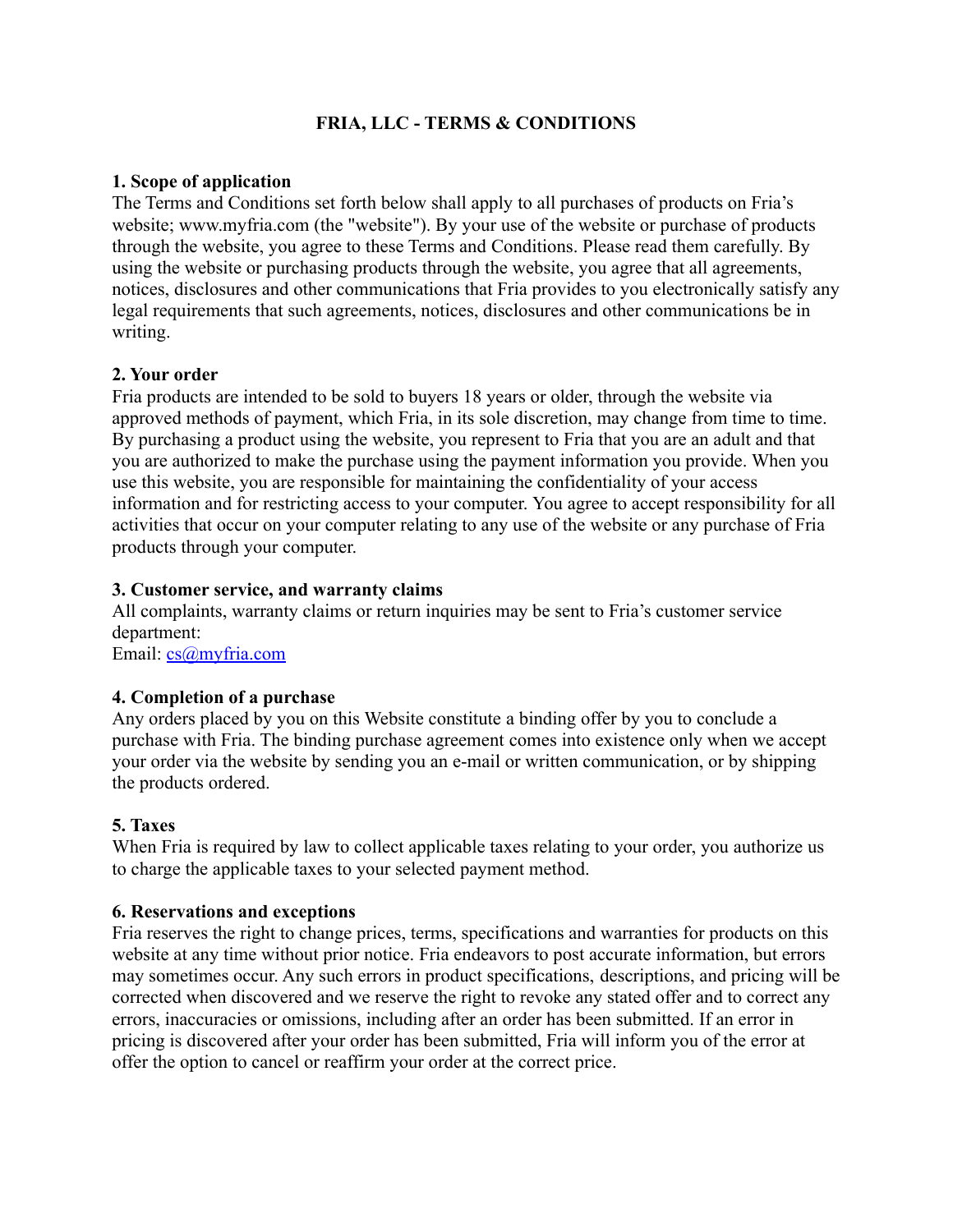# **FRIA, LLC - TERMS & CONDITIONS**

## **1. Scope of application**

The Terms and Conditions set forth below shall apply to all purchases of products on Fria's website; www.myfria.com (the "website"). By your use of the website or purchase of products through the website, you agree to these Terms and Conditions. Please read them carefully. By using the website or purchasing products through the website, you agree that all agreements, notices, disclosures and other communications that Fria provides to you electronically satisfy any legal requirements that such agreements, notices, disclosures and other communications be in writing.

### **2. Your order**

Fria products are intended to be sold to buyers 18 years or older, through the website via approved methods of payment, which Fria, in its sole discretion, may change from time to time. By purchasing a product using the website, you represent to Fria that you are an adult and that you are authorized to make the purchase using the payment information you provide. When you use this website, you are responsible for maintaining the confidentiality of your access information and for restricting access to your computer. You agree to accept responsibility for all activities that occur on your computer relating to any use of the website or any purchase of Fria products through your computer.

### **3. Customer service, and warranty claims**

All complaints, warranty claims or return inquiries may be sent to Fria's customer service department:

Email: [cs@myfria.com](mailto:cs@myfria.com)

# **4. Completion of a purchase**

Any orders placed by you on this Website constitute a binding offer by you to conclude a purchase with Fria. The binding purchase agreement comes into existence only when we accept your order via the website by sending you an e-mail or written communication, or by shipping the products ordered.

# **5. Taxes**

When Fria is required by law to collect applicable taxes relating to your order, you authorize us to charge the applicable taxes to your selected payment method.

#### **6. Reservations and exceptions**

Fria reserves the right to change prices, terms, specifications and warranties for products on this website at any time without prior notice. Fria endeavors to post accurate information, but errors may sometimes occur. Any such errors in product specifications, descriptions, and pricing will be corrected when discovered and we reserve the right to revoke any stated offer and to correct any errors, inaccuracies or omissions, including after an order has been submitted. If an error in pricing is discovered after your order has been submitted, Fria will inform you of the error at offer the option to cancel or reaffirm your order at the correct price.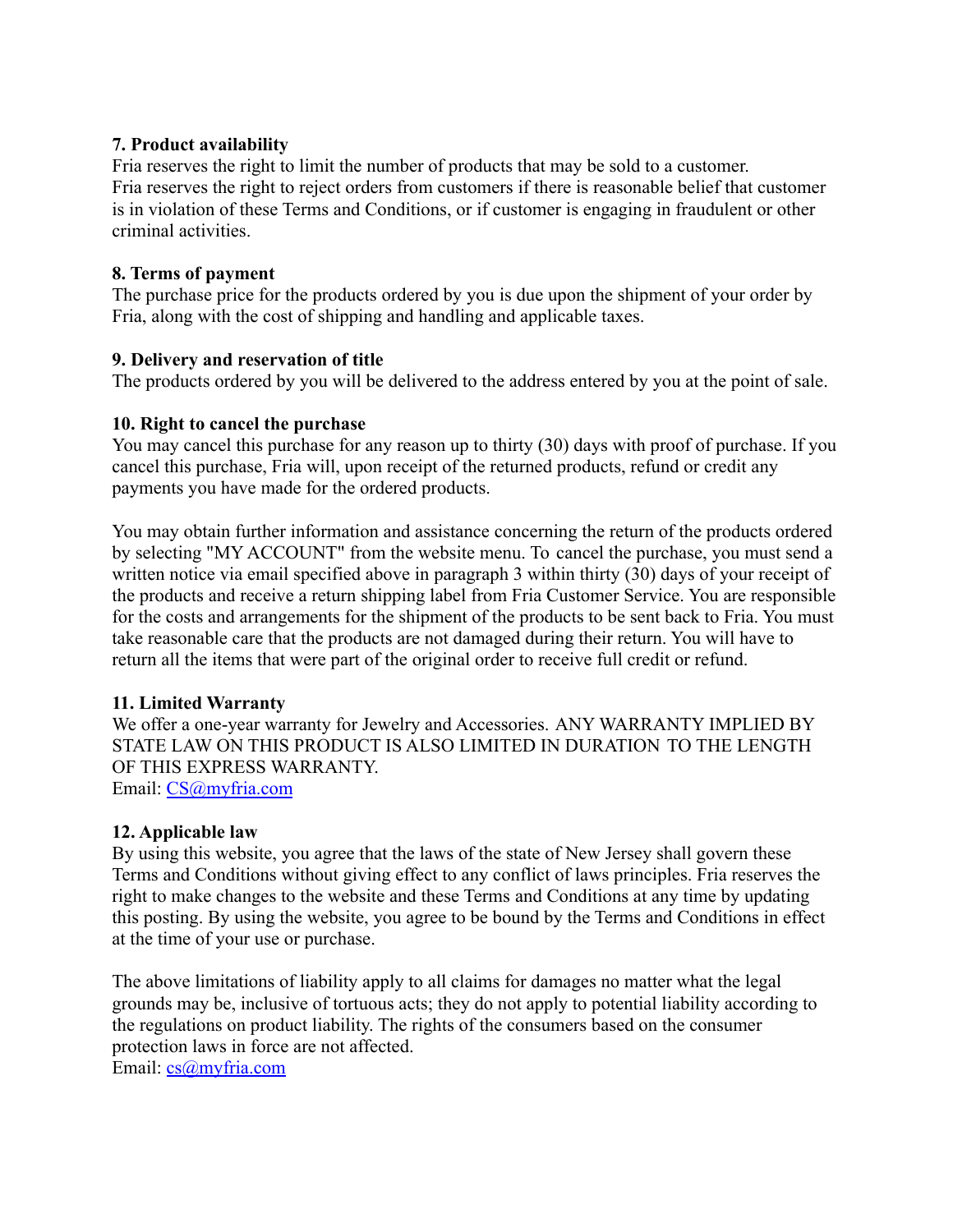## **7. Product availability**

Fria reserves the right to limit the number of products that may be sold to a customer. Fria reserves the right to reject orders from customers if there is reasonable belief that customer is in violation of these Terms and Conditions, or if customer is engaging in fraudulent or other criminal activities.

### **8. Terms of payment**

The purchase price for the products ordered by you is due upon the shipment of your order by Fria, along with the cost of shipping and handling and applicable taxes.

### **9. Delivery and reservation of title**

The products ordered by you will be delivered to the address entered by you at the point of sale.

### **10. Right to cancel the purchase**

You may cancel this purchase for any reason up to thirty (30) days with proof of purchase. If you cancel this purchase, Fria will, upon receipt of the returned products, refund or credit any payments you have made for the ordered products.

You may obtain further information and assistance concerning the return of the products ordered by selecting "MY ACCOUNT" from the website menu. To cancel the purchase, you must send a written notice via email specified above in paragraph 3 within thirty (30) days of your receipt of the products and receive a return shipping label from Fria Customer Service. You are responsible for the costs and arrangements for the shipment of the products to be sent back to Fria. You must take reasonable care that the products are not damaged during their return. You will have to return all the items that were part of the original order to receive full credit or refund.

# **11. Limited Warranty**

We offer a one-year warranty for Jewelry and Accessories. ANY WARRANTY IMPLIED BY STATE LAW ON THIS PRODUCT IS ALSO LIMITED IN DURATION TO THE LENGTH OF THIS EXPRESS WARRANTY. Email: [CS@myfria.com](mailto:CS@myfria.com)

#### **12. Applicable law**

By using this website, you agree that the laws of the state of New Jersey shall govern these Terms and Conditions without giving effect to any conflict of laws principles. Fria reserves the right to make changes to the website and these Terms and Conditions at any time by updating this posting. By using the website, you agree to be bound by the Terms and Conditions in effect at the time of your use or purchase.

The above limitations of liability apply to all claims for damages no matter what the legal grounds may be, inclusive of tortuous acts; they do not apply to potential liability according to the regulations on product liability. The rights of the consumers based on the consumer protection laws in force are not affected. Email: [cs@myfria.com](mailto:cs@myfria.com)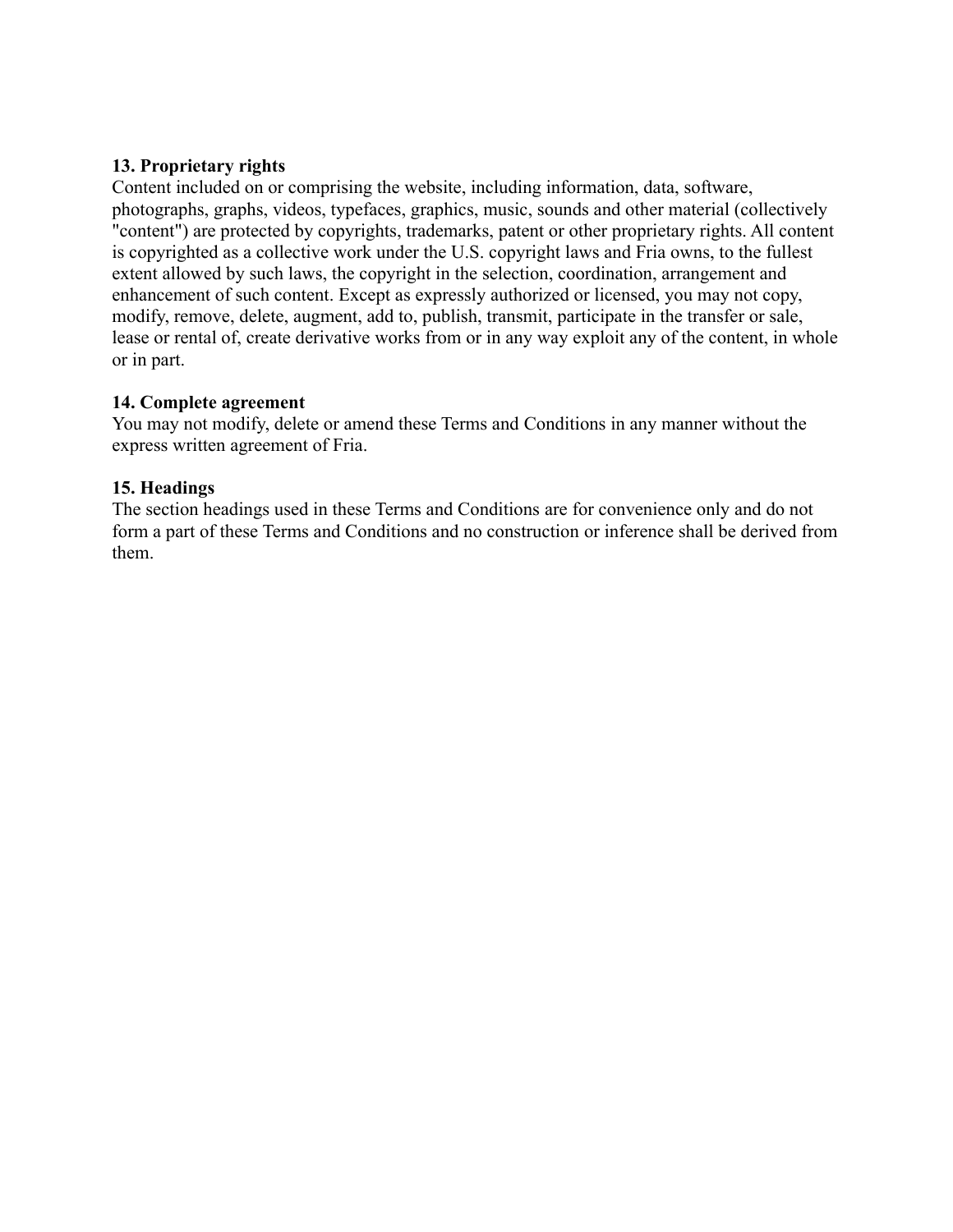## **13. Proprietary rights**

Content included on or comprising the website, including information, data, software, photographs, graphs, videos, typefaces, graphics, music, sounds and other material (collectively "content") are protected by copyrights, trademarks, patent or other proprietary rights. All content is copyrighted as a collective work under the U.S. copyright laws and Fria owns, to the fullest extent allowed by such laws, the copyright in the selection, coordination, arrangement and enhancement of such content. Except as expressly authorized or licensed, you may not copy, modify, remove, delete, augment, add to, publish, transmit, participate in the transfer or sale, lease or rental of, create derivative works from or in any way exploit any of the content, in whole or in part.

### **14. Complete agreement**

You may not modify, delete or amend these Terms and Conditions in any manner without the express written agreement of Fria.

### **15. Headings**

The section headings used in these Terms and Conditions are for convenience only and do not form a part of these Terms and Conditions and no construction or inference shall be derived from them.